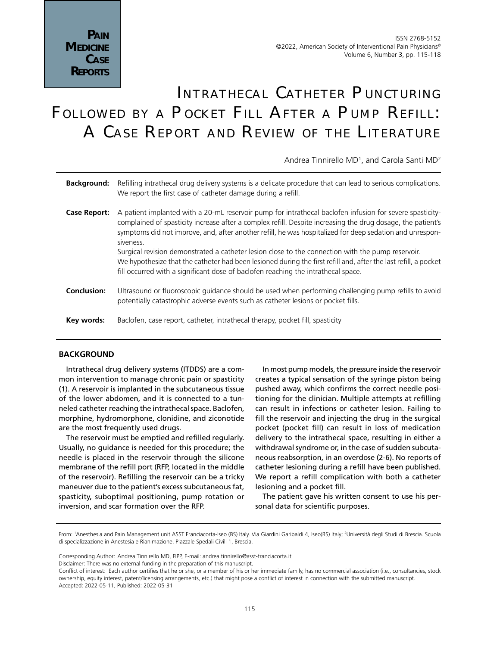# INTRATHECAL CATHETER PUNCTURING Followed by a Pocket Fill After a Pump Refill: A Case Report and Review of the Literature

Andrea Tinnirello MD<sup>1</sup>, and Carola Santi MD<sup>2</sup>

| <b>Background:</b> Refilling intrathecal drug delivery systems is a delicate procedure that can lead to serious complications. |
|--------------------------------------------------------------------------------------------------------------------------------|
| We report the first case of catheter damage during a refill.                                                                   |

- **Case Report:** A patient implanted with a 20-mL reservoir pump for intrathecal baclofen infusion for severe spasticitycomplained of spasticity increase after a complex refill. Despite increasing the drug dosage, the patient's symptoms did not improve, and, after another refill, he was hospitalized for deep sedation and unresponsiveness. Surgical revision demonstrated a catheter lesion close to the connection with the pump reservoir. We hypothesize that the catheter had been lesioned during the first refill and, after the last refill, a pocket fill occurred with a significant dose of baclofen reaching the intrathecal space.
- **Conclusion:** Ultrasound or fluoroscopic guidance should be used when performing challenging pump refills to avoid potentially catastrophic adverse events such as catheter lesions or pocket fills.
- **Key words:** Baclofen, case report, catheter, intrathecal therapy, pocket fill, spasticity

## **BACKGROUND**

Intrathecal drug delivery systems (ITDDS) are a common intervention to manage chronic pain or spasticity (1). A reservoir is implanted in the subcutaneous tissue of the lower abdomen, and it is connected to a tunneled catheter reaching the intrathecal space. Baclofen, morphine, hydromorphone, clonidine, and ziconotide are the most frequently used drugs.

The reservoir must be emptied and refilled regularly. Usually, no guidance is needed for this procedure; the needle is placed in the reservoir through the silicone membrane of the refill port (RFP, located in the middle of the reservoir). Refilling the reservoir can be a tricky maneuver due to the patient's excess subcutaneous fat, spasticity, suboptimal positioning, pump rotation or inversion, and scar formation over the RFP.

In most pump models, the pressure inside the reservoir creates a typical sensation of the syringe piston being pushed away, which confirms the correct needle positioning for the clinician. Multiple attempts at refilling can result in infections or catheter lesion. Failing to fill the reservoir and injecting the drug in the surgical pocket (pocket fill) can result in loss of medication delivery to the intrathecal space, resulting in either a withdrawal syndrome or, in the case of sudden subcutaneous reabsorption, in an overdose (2-6). No reports of catheter lesioning during a refill have been published. We report a refill complication with both a catheter lesioning and a pocket fill.

The patient gave his written consent to use his personal data for scientific purposes.

Disclaimer: There was no external funding in the preparation of this manuscript.

From: 1 Anesthesia and Pain Management unit ASST Franciacorta-Iseo (BS) Italy. Via Giardini Garibaldi 4, Iseo(BS) Italy; 2 Università degli Studi di Brescia. Scuola di specializzazione in Anestesia e Rianimazione. Piazzale Spedali Civili 1, Brescia.

Corresponding Author: Andrea Tinnirello MD, FIPP, E-mail: andrea.tinnirello@asst-franciacorta.it

Conflict of interest: Each author certifies that he or she, or a member of his or her immediate family, has no commercial association (i.e., consultancies, stock ownership, equity interest, patent/licensing arrangements, etc.) that might pose a conflict of interest in connection with the submitted manuscript. Accepted: 2022-05-11, Published: 2022-05-31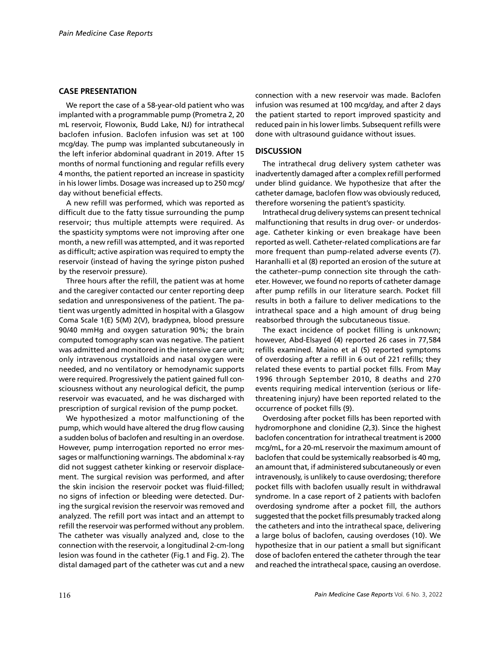## **CASE PRESENTATION**

We report the case of a 58-year-old patient who was implanted with a programmable pump (Prometra 2, 20 mL reservoir, Flowonix, Budd Lake, NJ) for intrathecal baclofen infusion. Baclofen infusion was set at 100 mcg/day. The pump was implanted subcutaneously in the left inferior abdominal quadrant in 2019. After 15 months of normal functioning and regular refills every 4 months, the patient reported an increase in spasticity in his lower limbs. Dosage was increased up to 250 mcg/ day without beneficial effects.

A new refill was performed, which was reported as difficult due to the fatty tissue surrounding the pump reservoir; thus multiple attempts were required. As the spasticity symptoms were not improving after one month, a new refill was attempted, and it was reported as difficult; active aspiration was required to empty the reservoir (instead of having the syringe piston pushed by the reservoir pressure).

Three hours after the refill, the patient was at home and the caregiver contacted our center reporting deep sedation and unresponsiveness of the patient. The patient was urgently admitted in hospital with a Glasgow Coma Scale 1(E) 5(M) 2(V), bradypnea, blood pressure 90/40 mmHg and oxygen saturation 90%; the brain computed tomography scan was negative. The patient was admitted and monitored in the intensive care unit; only intravenous crystalloids and nasal oxygen were needed, and no ventilatory or hemodynamic supports were required. Progressively the patient gained full consciousness without any neurological deficit, the pump reservoir was evacuated, and he was discharged with prescription of surgical revision of the pump pocket.

We hypothesized a motor malfunctioning of the pump, which would have altered the drug flow causing a sudden bolus of baclofen and resulting in an overdose. However, pump interrogation reported no error messages or malfunctioning warnings. The abdominal x-ray did not suggest catheter kinking or reservoir displacement. The surgical revision was performed, and after the skin incision the reservoir pocket was fluid-filled; no signs of infection or bleeding were detected. During the surgical revision the reservoir was removed and analyzed. The refill port was intact and an attempt to refill the reservoir was performed without any problem. The catheter was visually analyzed and, close to the connection with the reservoir, a longitudinal 2-cm-long lesion was found in the catheter (Fig.1 and Fig. 2). The distal damaged part of the catheter was cut and a new connection with a new reservoir was made. Baclofen infusion was resumed at 100 mcg/day, and after 2 days the patient started to report improved spasticity and reduced pain in his lower limbs. Subsequent refills were done with ultrasound guidance without issues.

#### **DISCUSSION**

The intrathecal drug delivery system catheter was inadvertently damaged after a complex refill performed under blind guidance. We hypothesize that after the catheter damage, baclofen flow was obviously reduced, therefore worsening the patient's spasticity.

Intrathecal drug delivery systems can present technical malfunctioning that results in drug over- or underdosage. Catheter kinking or even breakage have been reported as well. Catheter-related complications are far more frequent than pump-related adverse events (7). Haranhalli et al (8) reported an erosion of the suture at the catheter–pump connection site through the catheter. However, we found no reports of catheter damage after pump refills in our literature search. Pocket fill results in both a failure to deliver medications to the intrathecal space and a high amount of drug being reabsorbed through the subcutaneous tissue.

The exact incidence of pocket filling is unknown; however, Abd-Elsayed (4) reported 26 cases in 77,584 refills examined. Maino et al (5) reported symptoms of overdosing after a refill in 6 out of 221 refills; they related these events to partial pocket fills. From May 1996 through September 2010, 8 deaths and 270 events requiring medical intervention (serious or lifethreatening injury) have been reported related to the occurrence of pocket fills (9).

Overdosing after pocket fills has been reported with hydromorphone and clonidine (2,3). Since the highest baclofen concentration for intrathecal treatment is 2000 mcg/mL, for a 20-mL reservoir the maximum amount of baclofen that could be systemically reabsorbed is 40 mg, an amount that, if administered subcutaneously or even intravenously, is unlikely to cause overdosing; therefore pocket fills with baclofen usually result in withdrawal syndrome. In a case report of 2 patients with baclofen overdosing syndrome after a pocket fill, the authors suggested that the pocket fills presumably tracked along the catheters and into the intrathecal space, delivering a large bolus of baclofen, causing overdoses (10). We hypothesize that in our patient a small but significant dose of baclofen entered the catheter through the tear and reached the intrathecal space, causing an overdose.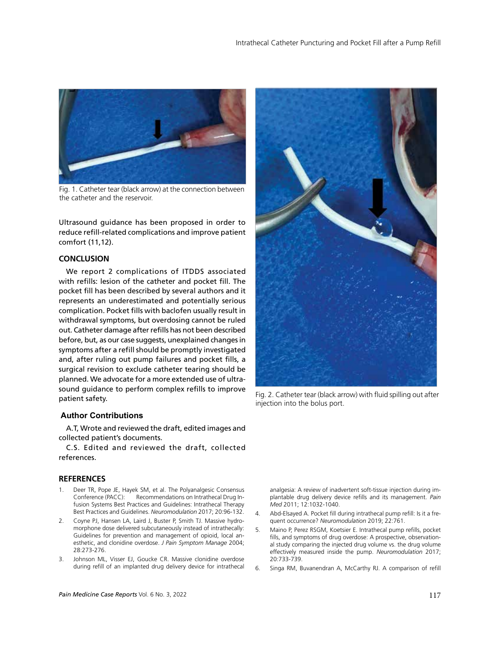

Fig. 1. Catheter tear (black arrow) at the connection between the catheter and the reservoir.

Ultrasound guidance has been proposed in order to reduce refill-related complications and improve patient comfort (11,12).

#### **CONCLUSION**

We report 2 complications of ITDDS associated with refills: lesion of the catheter and pocket fill. The pocket fill has been described by several authors and it represents an underestimated and potentially serious complication. Pocket fills with baclofen usually result in withdrawal symptoms, but overdosing cannot be ruled out. Catheter damage after refills has not been described before, but, as our case suggests, unexplained changes in symptoms after a refill should be promptly investigated and, after ruling out pump failures and pocket fills, a surgical revision to exclude catheter tearing should be planned. We advocate for a more extended use of ultrasound guidance to perform complex refills to improve patient safety.

#### **Author Contributions**

A.T, Wrote and reviewed the draft, edited images and collected patient's documents.

C.S. Edited and reviewed the draft, collected references.

#### **REFERENCES**

- 1. Deer TR, Pope JE, Hayek SM, et al. The Polyanalgesic Consensus Conference (PACC): Recommendations on Intrathecal Drug Infusion Systems Best Practices and Guidelines: Intrathecal Therapy Best Practices and Guidelines. *Neuromodulation* 2017; 20:96-132.
- 2. Coyne PJ, Hansen LA, Laird J, Buster P, Smith TJ. Massive hydromorphone dose delivered subcutaneously instead of intrathecally: Guidelines for prevention and management of opioid, local anesthetic, and clonidine overdose. *J Pain Symptom Manage* 2004; 28:273-276.
- 3. Johnson ML, Visser EJ, Goucke CR. Massive clonidine overdose during refill of an implanted drug delivery device for intrathecal



Fig. 2. Catheter tear (black arrow) with fluid spilling out after injection into the bolus port.

analgesia: A review of inadvertent soft-tissue injection during implantable drug delivery device refills and its management. *Pain Med* 2011; 12:1032-1040.

- 4. Abd-Elsayed A. Pocket fill during intrathecal pump refill: Is it a frequent occurrence? *Neuromodulation* 2019; 22:761.
- 5. Maino P, Perez RSGM, Koetsier E. Intrathecal pump refills, pocket fills, and symptoms of drug overdose: A prospective, observational study comparing the injected drug volume vs. the drug volume effectively measured inside the pump. *Neuromodulation* 2017; 20:733-739.
- 6. Singa RM, Buvanendran A, McCarthy RJ. A comparison of refill